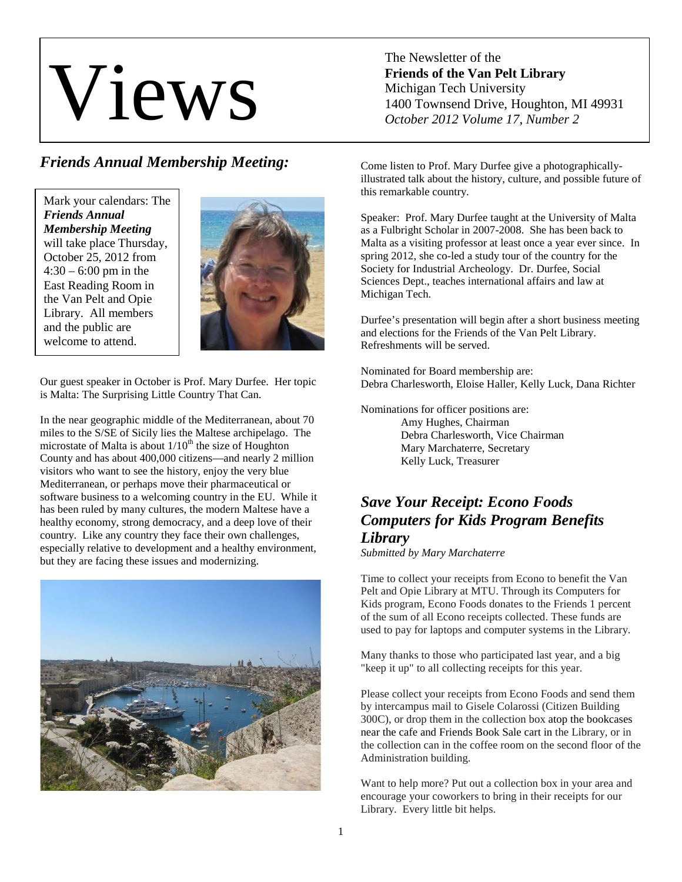# Views

## *Friends Annual Membership Meeting:*

Mark your calendars: The *Friends Annual Membership Meeting* will take place Thursday, October 25, 2012 from 4:30 – 6:00 pm in the East Reading Room in the Van Pelt and Opie Library. All members and the public are welcome to attend.



Our guest speaker in October is Prof. Mary Durfee. Her topic is Malta: The Surprising Little Country That Can.

In the near geographic middle of the Mediterranean, about 70 miles to the S/SE of Sicily lies the Maltese archipelago. The microstate of Malta is about  $1/10^{th}$  the size of Houghton County and has about 400,000 citizens—and nearly 2 million visitors who want to see the history, enjoy the very blue Mediterranean, or perhaps move their pharmaceutical or software business to a welcoming country in the EU. While it has been ruled by many cultures, the modern Maltese have a healthy economy, strong democracy, and a deep love of their country. Like any country they face their own challenges, especially relative to development and a healthy environment, but they are facing these issues and modernizing.



The Newsletter of the **Friends of the Van Pelt Library** Michigan Tech University 1400 Townsend Drive, Houghton, MI 49931 *October 2012 Volume 17, Number 2* 

Come listen to Prof. Mary Durfee give a photographicallyillustrated talk about the history, culture, and possible future of this remarkable country.

Speaker: Prof. Mary Durfee taught at the University of Malta as a Fulbright Scholar in 2007-2008. She has been back to Malta as a visiting professor at least once a year ever since. In spring 2012, she co-led a study tour of the country for the Society for Industrial Archeology. Dr. Durfee, Social Sciences Dept., teaches international affairs and law at Michigan Tech.

Durfee's presentation will begin after a short business meeting and elections for the Friends of the Van Pelt Library. Refreshments will be served.

Nominated for Board membership are: Debra Charlesworth, Eloise Haller, Kelly Luck, Dana Richter

Nominations for officer positions are: Amy Hughes, Chairman Debra Charlesworth, Vice Chairman Mary Marchaterre, Secretary Kelly Luck, Treasurer

## *Save Your Receipt: Econo Foods Computers for Kids Program Benefits Library*

*Submitted by Mary Marchaterre*

Time to collect your receipts from Econo to benefit the Van Pelt and Opie Library at MTU. Through its Computers for Kids program, Econo Foods donates to the Friends 1 percent of the sum of all Econo receipts collected. These funds are used to pay for laptops and computer systems in the Library.

Many thanks to those who participated last year, and a big "keep it up" to all collecting receipts for this year.

Please collect your receipts from Econo Foods and send them by intercampus mail to Gisele Colarossi (Citizen Building 300C), or drop them in the collection box atop the bookcases near the cafe and Friends Book Sale cart in the Library, or in the collection can in the coffee room on the second floor of the Administration building.

Want to help more? Put out a collection box in your area and encourage your coworkers to bring in their receipts for our Library. Every little bit helps.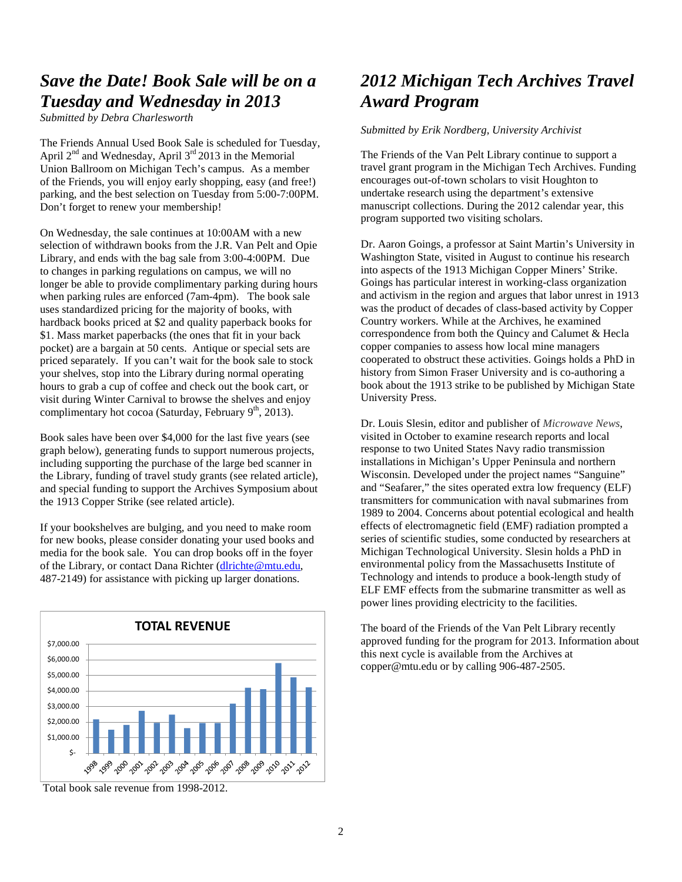## *Save the Date! Book Sale will be on a Tuesday and Wednesday in 2013*

*Submitted by Debra Charlesworth*

The Friends Annual Used Book Sale is scheduled for Tuesday, April  $2<sup>nd</sup>$  and Wednesday, April  $3<sup>rd</sup>$  2013 in the Memorial Union Ballroom on Michigan Tech's campus. As a member of the Friends, you will enjoy early shopping, easy (and free!) parking, and the best selection on Tuesday from 5:00-7:00PM. Don't forget to renew your membership!

On Wednesday, the sale continues at 10:00AM with a new selection of withdrawn books from the J.R. Van Pelt and Opie Library, and ends with the bag sale from 3:00-4:00PM. Due to changes in parking regulations on campus, we will no longer be able to provide complimentary parking during hours when parking rules are enforced (7am-4pm). The book sale uses standardized pricing for the majority of books, with hardback books priced at \$2 and quality paperback books for \$1. Mass market paperbacks (the ones that fit in your back pocket) are a bargain at 50 cents. Antique or special sets are priced separately. If you can't wait for the book sale to stock your shelves, stop into the Library during normal operating hours to grab a cup of coffee and check out the book cart, or visit during Winter Carnival to browse the shelves and enjoy complimentary hot cocoa (Saturday, February  $9<sup>th</sup>$ , 2013).

Book sales have been over \$4,000 for the last five years (see graph below), generating funds to support numerous projects, including supporting the purchase of the large bed scanner in the Library, funding of travel study grants (see related article), and special funding to support the Archives Symposium about the 1913 Copper Strike (see related article).

If your bookshelves are bulging, and you need to make room for new books, please consider donating your used books and media for the book sale. You can drop books off in the foyer of the Library, or contact Dana Richter [\(dlrichte@mtu.edu,](mailto:dlrichte@mtu.edu) 487-2149) for assistance with picking up larger donations.



Total book sale revenue from 1998-2012.

# *2012 Michigan Tech Archives Travel Award Program*

#### *Submitted by Erik Nordberg, University Archivist*

The Friends of the Van Pelt Library continue to support a travel grant program in the Michigan Tech Archives. Funding encourages out-of-town scholars to visit Houghton to undertake research using the department's extensive manuscript collections. During the 2012 calendar year, this program supported two visiting scholars.

Dr. Aaron Goings, a professor at Saint Martin's University in Washington State, visited in August to continue his research into aspects of the 1913 Michigan Copper Miners' Strike. Goings has particular interest in working-class organization and activism in the region and argues that labor unrest in 1913 was the product of decades of class-based activity by Copper Country workers. While at the Archives, he examined correspondence from both the Quincy and Calumet & Hecla copper companies to assess how local mine managers cooperated to obstruct these activities. Goings holds a PhD in history from Simon Fraser University and is co-authoring a book about the 1913 strike to be published by Michigan State University Press.

Dr. Louis Slesin, editor and publisher of *Microwave News*, visited in October to examine research reports and local response to two United States Navy radio transmission installations in Michigan's Upper Peninsula and northern Wisconsin. Developed under the project names "Sanguine" and "Seafarer," the sites operated extra low frequency (ELF) transmitters for communication with naval submarines from 1989 to 2004. Concerns about potential ecological and health effects of electromagnetic field (EMF) radiation prompted a series of scientific studies, some conducted by researchers at Michigan Technological University. Slesin holds a PhD in environmental policy from the Massachusetts Institute of Technology and intends to produce a book-length study of ELF EMF effects from the submarine transmitter as well as power lines providing electricity to the facilities.

The board of the Friends of the Van Pelt Library recently approved funding for the program for 2013. Information about this next cycle is available from the Archives at copper@mtu.edu or by calling 906-487-2505.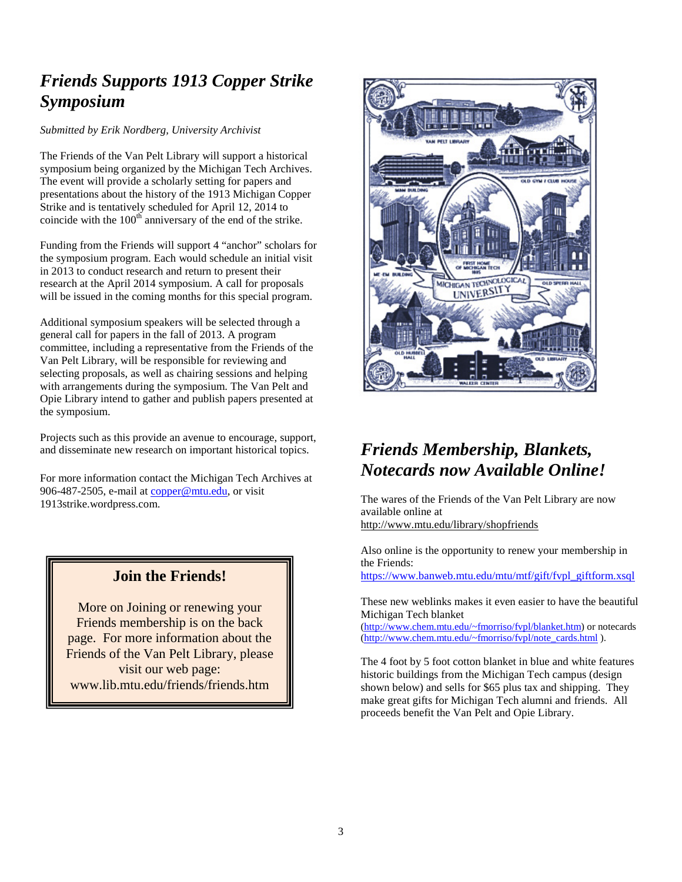# *Friends Supports 1913 Copper Strike Symposium*

*Submitted by Erik Nordberg, University Archivist*

The Friends of the Van Pelt Library will support a historical symposium being organized by the Michigan Tech Archives. The event will provide a scholarly setting for papers and presentations about the history of the 1913 Michigan Copper Strike and is tentatively scheduled for April 12, 2014 to coincide with the  $100<sup>th</sup>$  anniversary of the end of the strike.

Funding from the Friends will support 4 "anchor" scholars for the symposium program. Each would schedule an initial visit in 2013 to conduct research and return to present their research at the April 2014 symposium. A call for proposals will be issued in the coming months for this special program.

Additional symposium speakers will be selected through a general call for papers in the fall of 2013. A program committee, including a representative from the Friends of the Van Pelt Library, will be responsible for reviewing and selecting proposals, as well as chairing sessions and helping with arrangements during the symposium. The Van Pelt and Opie Library intend to gather and publish papers presented at the symposium.

Projects such as this provide an avenue to encourage, support, and disseminate new research on important historical topics.

For more information contact the Michigan Tech Archives at 906-487-2505, e-mail at [copper@mtu.edu,](mailto:copper@mtu.edu) or visit 1913strike.wordpress.com.

## **Join the Friends!**

More on Joining or renewing your Friends membership is on the back page. For more information about the Friends of the Van Pelt Library, please visit our web page: www.lib.mtu.edu/friends/friends.htm



# *Friends Membership, Blankets, Notecards now Available Online!*

The wares of the Friends of the Van Pelt Library are now available online at

<http://www.mtu.edu/library/shopfriends>

Also online is the opportunity to renew your membership in the Friends:

[https://www.banweb.mtu.edu/mtu/mtf/gift/fvpl\\_giftform.xsql](https://www.banweb.mtu.edu/mtu/mtf/gift/fvpl_giftform.xsql)

These new weblinks makes it even easier to have the beautiful Michigan Tech blanket

[\(http://www.chem.mtu.edu/~fmorriso/fvpl/blanket.htm\)](http://www.chem.mtu.edu/~fmorriso/fvpl/blanket.htm) or notecards [\(http://www.chem.mtu.edu/~fmorriso/fvpl/note\\_cards.html](http://www.chem.mtu.edu/~fmorriso/fvpl/note_cards.html)).

The 4 foot by 5 foot cotton blanket in blue and white features historic buildings from the Michigan Tech campus (design shown below) and sells for \$65 plus tax and shipping. They make great gifts for Michigan Tech alumni and friends. All proceeds benefit the Van Pelt and Opie Library.